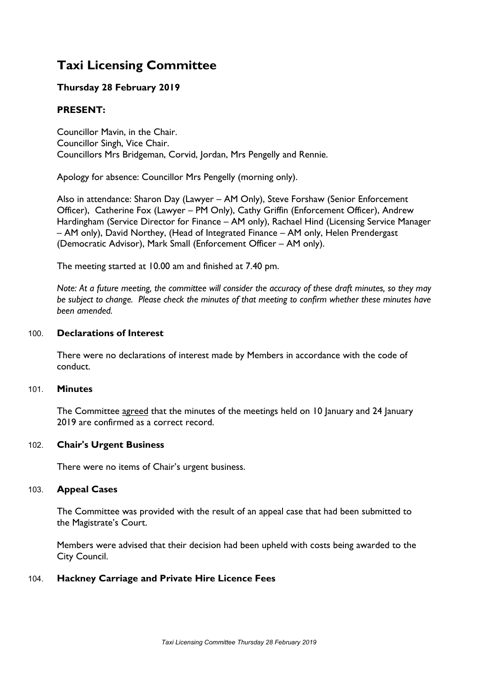# **Taxi Licensing Committee**

# **Thursday 28 February 2019**

# **PRESENT:**

Councillor Mavin, in the Chair. Councillor Singh, Vice Chair. Councillors Mrs Bridgeman, Corvid, Jordan, Mrs Pengelly and Rennie.

Apology for absence: Councillor Mrs Pengelly (morning only).

Also in attendance: Sharon Day (Lawyer – AM Only), Steve Forshaw (Senior Enforcement Officer), Catherine Fox (Lawyer – PM Only), Cathy Griffin (Enforcement Officer), Andrew Hardingham (Service Director for Finance – AM only), Rachael Hind (Licensing Service Manager – AM only), David Northey, (Head of Integrated Finance – AM only, Helen Prendergast (Democratic Advisor), Mark Small (Enforcement Officer – AM only).

The meeting started at 10.00 am and finished at 7.40 pm.

Note: At a future meeting, the committee will consider the accuracy of these draft minutes, so they may *be subject to change. Please check the minutes of that meeting to confirm whether these minutes have been amended.*

## 100. **Declarations of Interest**

There were no declarations of interest made by Members in accordance with the code of conduct.

## 101. **Minutes**

The Committee agreed that the minutes of the meetings held on 10 January and 24 January 2019 are confirmed as a correct record.

## 102. **Chair's Urgent Business**

There were no items of Chair's urgent business.

## 103. **Appeal Cases**

The Committee was provided with the result of an appeal case that had been submitted to the Magistrate's Court.

Members were advised that their decision had been upheld with costs being awarded to the City Council.

## 104. **Hackney Carriage and Private Hire Licence Fees**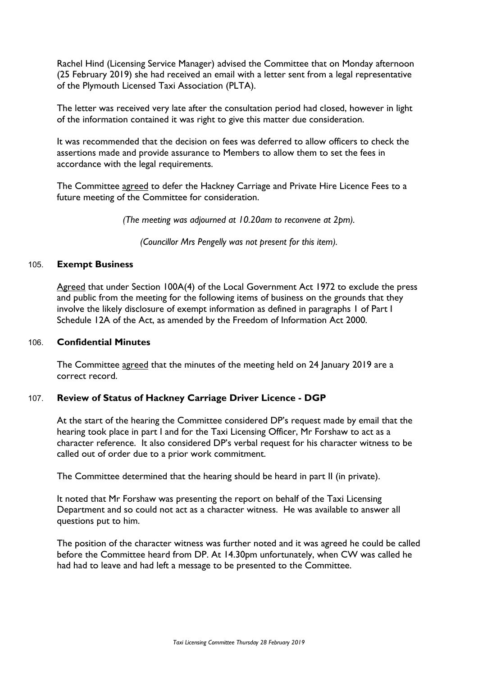Rachel Hind (Licensing Service Manager) advised the Committee that on Monday afternoon (25 February 2019) she had received an email with a letter sent from a legal representative of the Plymouth Licensed Taxi Association (PLTA).

The letter was received very late after the consultation period had closed, however in light of the information contained it was right to give this matter due consideration.

It was recommended that the decision on fees was deferred to allow officers to check the assertions made and provide assurance to Members to allow them to set the fees in accordance with the legal requirements.

The Committee agreed to defer the Hackney Carriage and Private Hire Licence Fees to a future meeting of the Committee for consideration.

*(The meeting was adjourned at 10.20am to reconvene at 2pm).*

*(Councillor Mrs Pengelly was not present for this item).*

#### 105. **Exempt Business**

Agreed that under Section 100A(4) of the Local Government Act 1972 to exclude the press and public from the meeting for the following items of business on the grounds that they involve the likely disclosure of exempt information as defined in paragraphs 1 of Part I Schedule 12A of the Act, as amended by the Freedom of Information Act 2000.

#### 106. **Confidential Minutes**

The Committee agreed that the minutes of the meeting held on 24 January 2019 are a correct record.

## 107. **Review of Status of Hackney Carriage Driver Licence - DGP**

At the start of the hearing the Committee considered DP's request made by email that the hearing took place in part I and for the Taxi Licensing Officer, Mr Forshaw to act as a character reference. It also considered DP's verbal request for his character witness to be called out of order due to a prior work commitment.

The Committee determined that the hearing should be heard in part II (in private).

It noted that Mr Forshaw was presenting the report on behalf of the Taxi Licensing Department and so could not act as a character witness. He was available to answer all questions put to him.

The position of the character witness was further noted and it was agreed he could be called before the Committee heard from DP. At 14.30pm unfortunately, when CW was called he had had to leave and had left a message to be presented to the Committee.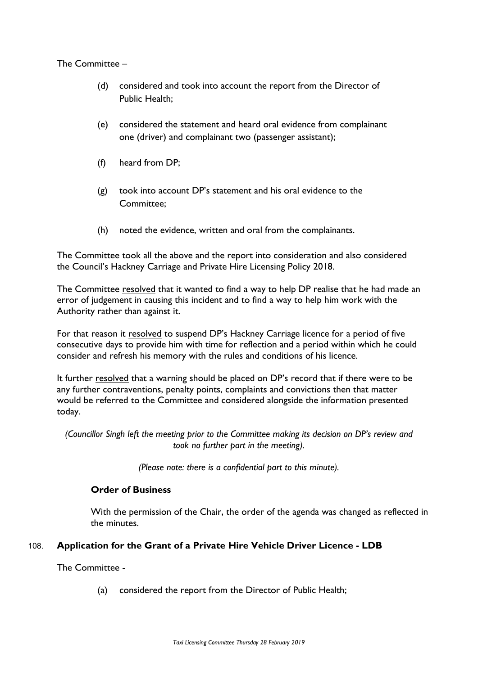## The Committee –

- (d) considered and took into account the report from the Director of Public Health;
- (e) considered the statement and heard oral evidence from complainant one (driver) and complainant two (passenger assistant);
- (f) heard from DP;
- (g) took into account DP's statement and his oral evidence to the Committee;
- (h) noted the evidence, written and oral from the complainants.

The Committee took all the above and the report into consideration and also considered the Council's Hackney Carriage and Private Hire Licensing Policy 2018.

The Committee resolved that it wanted to find a way to help DP realise that he had made an error of judgement in causing this incident and to find a way to help him work with the Authority rather than against it.

For that reason it resolved to suspend DP's Hackney Carriage licence for a period of five consecutive days to provide him with time for reflection and a period within which he could consider and refresh his memory with the rules and conditions of his licence.

It further resolved that a warning should be placed on DP's record that if there were to be any further contraventions, penalty points, complaints and convictions then that matter would be referred to the Committee and considered alongside the information presented today.

*(Councillor Singh left the meeting prior to the Committee making its decision on DP's review and took no further part in the meeting).*

*(Please note: there is a confidential part to this minute).*

# **Order of Business**

With the permission of the Chair, the order of the agenda was changed as reflected in the minutes.

# 108. **Application for the Grant of a Private Hire Vehicle Driver Licence - LDB**

The Committee -

(a) considered the report from the Director of Public Health;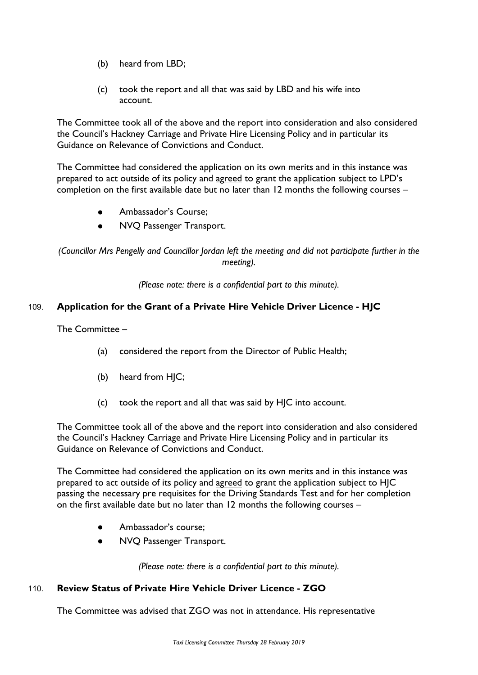- (b) heard from LBD;
- (c) took the report and all that was said by LBD and his wife into account.

The Committee took all of the above and the report into consideration and also considered the Council's Hackney Carriage and Private Hire Licensing Policy and in particular its Guidance on Relevance of Convictions and Conduct.

The Committee had considered the application on its own merits and in this instance was prepared to act outside of its policy and agreed to grant the application subject to LPD's completion on the first available date but no later than 12 months the following courses –

- Ambassador's Course;
- NVQ Passenger Transport.

*(Councillor Mrs Pengelly and Councillor Jordan left the meeting and did not participate further in the meeting).*

*(Please note: there is a confidential part to this minute).*

# 109. **Application for the Grant of a Private Hire Vehicle Driver Licence - HJC**

The Committee –

- (a) considered the report from the Director of Public Health;
- (b) heard from HJC;
- (c) took the report and all that was said by HJC into account.

The Committee took all of the above and the report into consideration and also considered the Council's Hackney Carriage and Private Hire Licensing Policy and in particular its Guidance on Relevance of Convictions and Conduct.

The Committee had considered the application on its own merits and in this instance was prepared to act outside of its policy and agreed to grant the application subject to HJC passing the necessary pre requisites for the Driving Standards Test and for her completion on the first available date but no later than 12 months the following courses –

- Ambassador's course;
- NVQ Passenger Transport.

*(Please note: there is a confidential part to this minute).*

# 110. **Review Status of Private Hire Vehicle Driver Licence - ZGO**

The Committee was advised that ZGO was not in attendance. His representative